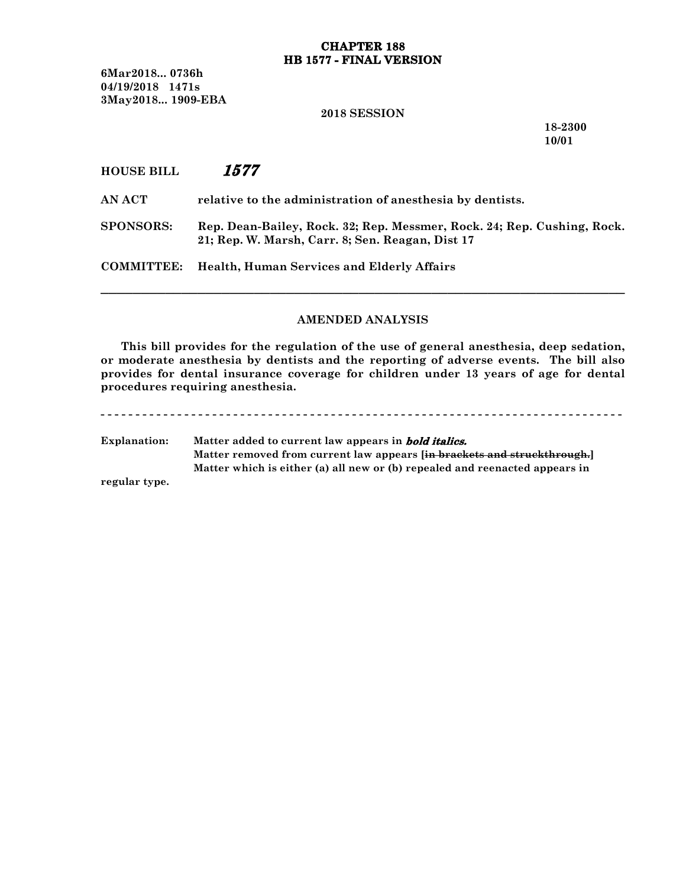## **CHAPTER 188 HB 1577 - FINAL VERSION**

6Mar2018... 0736h 04/19/2018 1471s 3May2018... 1909-EBA

#### 2018 SESSION

18-2300 10/01

# HOUSE BILL *1577*

AN ACT relative to the administration of anesthesia by dentists.

SPONSORS: Rep. Dean-Bailey, Rock. 32; Rep. Messmer, Rock. 24; Rep. Cushing, Rock. 21; Rep. W. Marsh, Carr. 8; Sen. Reagan, Dist 17

COMMITTEE: Health, Human Services and Elderly Affairs

# AMENDED ANALYSIS

─────────────────────────────────────────────────────────────────

This bill provides for the regulation of the use of general anesthesia, deep sedation, or moderate anesthesia by dentists and the reporting of adverse events. The bill also provides for dental insurance coverage for children under 13 years of age for dental procedures requiring anesthesia.

- - - - - - - - - - - - - - - - - - - - - - - - - - - - - - - - - - - - - - - - - - - - - - - - - - - - - - - - - - - - - - - - - - - - - - - - - - - Explanation: Matter added to current law appears in *bold italics.* Matter removed from current law appears [in brackets and struckthrough.] Matter which is either (a) all new or (b) repealed and reenacted appears in

regular type.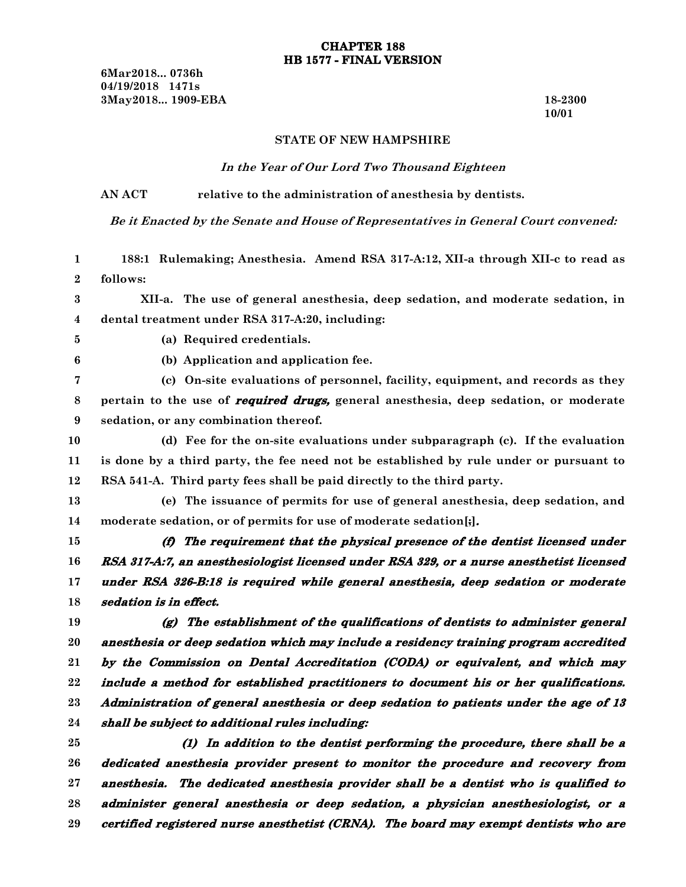6Mar2018... 0736h 04/19/2018 1471s 3May2018... 1909-EBA 18-2300

10/01

#### STATE OF NEW HAMPSHIRE

#### *In the Year of Our Lord Two Thousand Eighteen*

# AN ACT relative to the administration of anesthesia by dentists.

*Be it Enacted by the Senate and House of Representatives in General Court convened:*

188:1 Rulemaking; Anesthesia. Amend RSA 317-A:12, XII-a through XII-c to read as follows: XII-a. The use of general anesthesia, deep sedation, and moderate sedation, in dental treatment under RSA 317-A:20, including: (a) Required credentials. (b) Application and application fee. (c) On-site evaluations of personnel, facility, equipment, and records as they pertain to the use of *required drugs,* general anesthesia, deep sedation, or moderate sedation, or any combination thereof. (d) Fee for the on-site evaluations under subparagraph (c). If the evaluation is done by a third party, the fee need not be established by rule under or pursuant to RSA 541-A. Third party fees shall be paid directly to the third party. (e) The issuance of permits for use of general anesthesia, deep sedation, and moderate sedation, or of permits for use of moderate sedation[;]*. (f) The requirement that the physical presence of the dentist licensed under RSA 317-A:7, an anesthesiologist licensed under RSA 329, or <sup>a</sup> nurse anesthetist licensed under RSA 326-B:18 is required while general anesthesia, deep sedation or moderate sedation is in effect. (g) The establishment of the qualifications of dentists to administer general anesthesia or deep sedation which may include <sup>a</sup> residency training program accredited by the Commission on Dental Accreditation (CODA) or equivalent, and which may include <sup>a</sup> method for established practitioners to document his or her qualifications. Administration of general anesthesia or deep sedation to patients under the age of 13 shall be subject to additional rules including:* 1 2 3 4 5 6 7 8 9 10 11 12 13 14 15 16 17 18 19 20 21 22 23 24

*(1) In addition to the dentist performing the procedure, there shall be <sup>a</sup> dedicated anesthesia provider present to monitor the procedure and recovery from anesthesia. The dedicated anesthesia provider shall be <sup>a</sup> dentist who is qualified to administer general anesthesia or deep sedation, <sup>a</sup> physician anesthesiologist, or <sup>a</sup> certified registered nurse anesthetist (CRNA). The board may exempt dentists who are* 25 26 27 28 29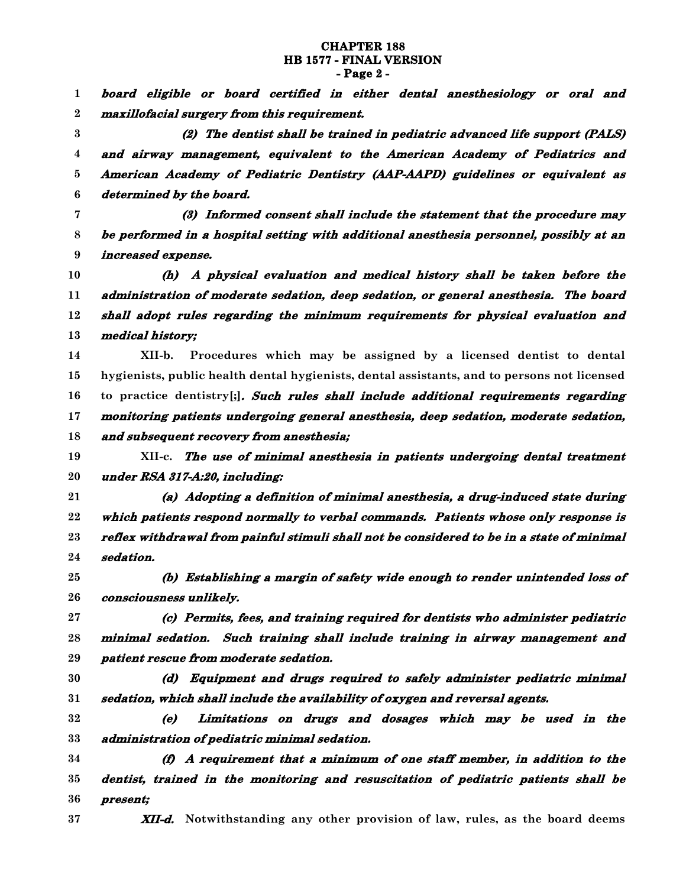## **CHAPTER 188 HB 1577 - FINAL VERSION - Page 2 -**

*board eligible or board certified in either dental anesthesiology or oral and maxillofacial surgery from this requirement.* 1 2

*(2) The dentist shall be trained in pediatric advanced life support (PALS) and airway management, equivalent to the American Academy of Pediatrics and American Academy of Pediatric Dentistry (AAP-AAPD) guidelines or equivalent as determined by the board.* 3 4 5 6

*(3) Informed consent shall include the statement that the procedure may be performed in <sup>a</sup> hospital setting with additional anesthesia personnel, possibly at an increased expense.* 7 8 9

*(h) A physical evaluation and medical history shall be taken before the administration of moderate sedation, deep sedation, or general anesthesia. The board shall adopt rules regarding the minimum requirements for physical evaluation and medical history;* 10 11 12 13

XII-b. Procedures which may be assigned by a licensed dentist to dental hygienists, public health dental hygienists, dental assistants, and to persons not licensed to practice dentistry[;]*. Such rules shall include additional requirements regarding monitoring patients undergoing general anesthesia, deep sedation, moderate sedation, and subsequent recovery from anesthesia;* 14 15 16 17 18

XII-c. *The use of minimal anesthesia in patients undergoing dental treatment under RSA 317-A:20, including:* 19 20

*(a) Adopting <sup>a</sup> definition of minimal anesthesia, <sup>a</sup> drug-induced state during which patients respond normally to verbal commands. Patients whose only response is reflex withdrawal from painful stimuli shall not be considered to be in <sup>a</sup> state of minimal sedation.* 21 22 23 24

*(b) Establishing <sup>a</sup> margin of safety wide enough to render unintended loss of consciousness unlikely.* 25 26

*(c) Permits, fees, and training required for dentists who administer pediatric minimal sedation. Such training shall include training in airway management and patient rescue from moderate sedation.* 27 28 29

30 31

*(d) Equipment and drugs required to safely administer pediatric minimal sedation, which shall include the availability of oxygen and reversal agents.*

*(e) Limitations on drugs and dosages which may be used in the administration of pediatric minimal sedation.* 32 33

*(f) A requirement that <sup>a</sup> minimum of one staff member, in addition to the dentist, trained in the monitoring and resuscitation of pediatric patients shall be present;* 34 35 36

37

*XII-d.* Notwithstanding any other provision of law, rules, as the board deems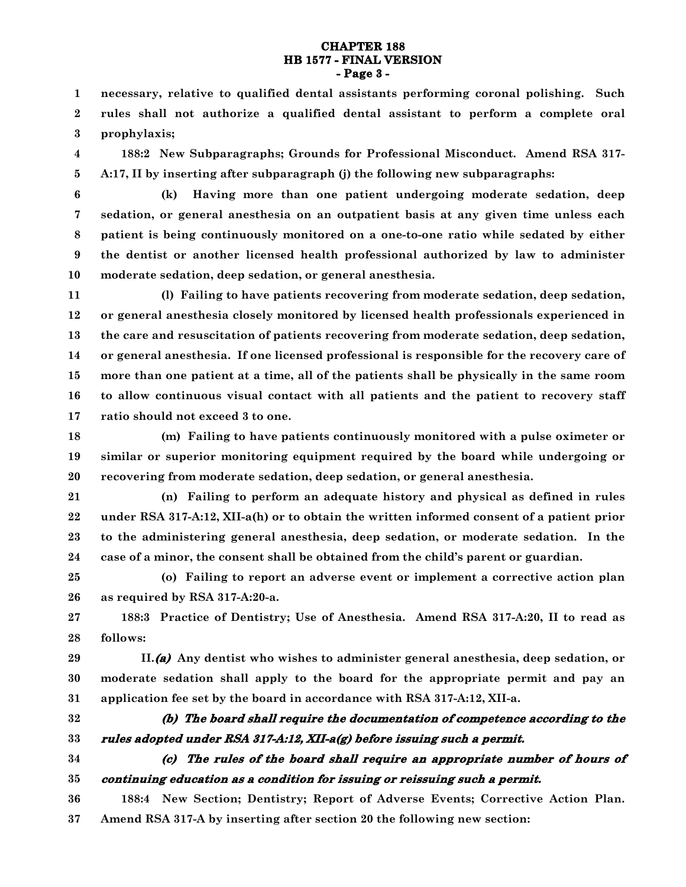## **CHAPTER 188 HB 1577 - FINAL VERSION - Page 3 -**

necessary, relative to qualified dental assistants performing coronal polishing. Such rules shall not authorize a qualified dental assistant to perform a complete oral prophylaxis; 1 2 3

188:2 New Subparagraphs; Grounds for Professional Misconduct. Amend RSA 317- A:17, II by inserting after subparagraph (j) the following new subparagraphs: 4 5

6

(k) Having more than one patient undergoing moderate sedation, deep sedation, or general anesthesia on an outpatient basis at any given time unless each patient is being continuously monitored on a one-to-one ratio while sedated by either the dentist or another licensed health professional authorized by law to administer moderate sedation, deep sedation, or general anesthesia. 7 8 9 10

(l) Failing to have patients recovering from moderate sedation, deep sedation, or general anesthesia closely monitored by licensed health professionals experienced in the care and resuscitation of patients recovering from moderate sedation, deep sedation, or general anesthesia. If one licensed professional is responsible for the recovery care of more than one patient at a time, all of the patients shall be physically in the same room to allow continuous visual contact with all patients and the patient to recovery staff ratio should not exceed 3 to one. 11 12 13 14 15 16 17

(m) Failing to have patients continuously monitored with a pulse oximeter or similar or superior monitoring equipment required by the board while undergoing or recovering from moderate sedation, deep sedation, or general anesthesia. 18 19 20

(n) Failing to perform an adequate history and physical as defined in rules under RSA 317-A:12, XII-a(h) or to obtain the written informed consent of a patient prior to the administering general anesthesia, deep sedation, or moderate sedation. In the case of a minor, the consent shall be obtained from the child's parent or guardian. 21 22 23 24

(o) Failing to report an adverse event or implement a corrective action plan as required by RSA 317-A:20-a. 25 26

188:3 Practice of Dentistry; Use of Anesthesia. Amend RSA 317-A:20, II to read as follows: 27 28

II.*(a)* Any dentist who wishes to administer general anesthesia, deep sedation, or moderate sedation shall apply to the board for the appropriate permit and pay an application fee set by the board in accordance with RSA 317-A:12, XII-a. 29 30 31

32

33

```
(b) The board shall require the documentation of competence according to the
rules adopted under RSA 317-A:12, XII-a(g) before issuing such a permit.
```
*(c) The rules of the board shall require an appropriate number of hours of* 34

#### *continuing education as <sup>a</sup> condition for issuing or reissuing such <sup>a</sup> permit.* 35

188:4 New Section; Dentistry; Report of Adverse Events; Corrective Action Plan. Amend RSA 317-A by inserting after section 20 the following new section: 36 37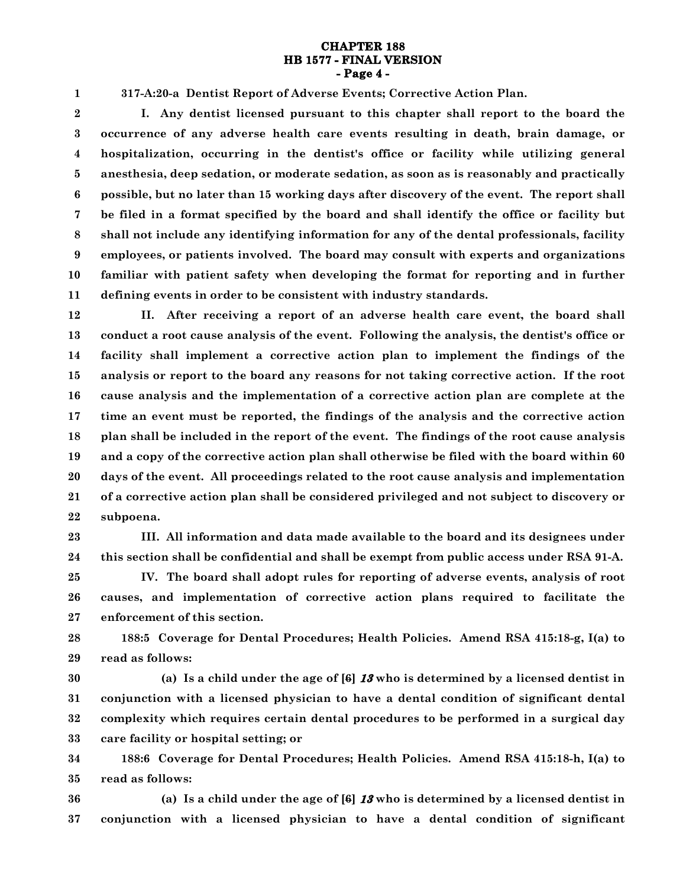### **CHAPTER 188 HB 1577 - FINAL VERSION - Page 4 -**

317-A:20-a Dentist Report of Adverse Events; Corrective Action Plan.

1

I. Any dentist licensed pursuant to this chapter shall report to the board the occurrence of any adverse health care events resulting in death, brain damage, or hospitalization, occurring in the dentist's office or facility while utilizing general anesthesia, deep sedation, or moderate sedation, as soon as is reasonably and practically possible, but no later than 15 working days after discovery of the event. The report shall be filed in a format specified by the board and shall identify the office or facility but shall not include any identifying information for any of the dental professionals, facility employees, or patients involved. The board may consult with experts and organizations familiar with patient safety when developing the format for reporting and in further defining events in order to be consistent with industry standards. 2 3 4 5 6 7 8 9 10 11

II. After receiving a report of an adverse health care event, the board shall conduct a root cause analysis of the event. Following the analysis, the dentist's office or facility shall implement a corrective action plan to implement the findings of the analysis or report to the board any reasons for not taking corrective action. If the root cause analysis and the implementation of a corrective action plan are complete at the time an event must be reported, the findings of the analysis and the corrective action plan shall be included in the report of the event. The findings of the root cause analysis and a copy of the corrective action plan shall otherwise be filed with the board within 60 days of the event. All proceedings related to the root cause analysis and implementation of a corrective action plan shall be considered privileged and not subject to discovery or subpoena. 12 13 14 15 16 17 18 19 20 21 22

III. All information and data made available to the board and its designees under this section shall be confidential and shall be exempt from public access under RSA 91-A. 23 24

IV. The board shall adopt rules for reporting of adverse events, analysis of root causes, and implementation of corrective action plans required to facilitate the enforcement of this section. 25 26 27

188:5 Coverage for Dental Procedures; Health Policies. Amend RSA 415:18-g, I(a) to read as follows: 28 29

(a) Is a child under the age of [6] *13* who is determined by a licensed dentist in conjunction with a licensed physician to have a dental condition of significant dental complexity which requires certain dental procedures to be performed in a surgical day care facility or hospital setting; or 30 31 32 33

188:6 Coverage for Dental Procedures; Health Policies. Amend RSA 415:18-h, I(a) to read as follows: 34 35

(a) Is a child under the age of [6] *13* who is determined by a licensed dentist in conjunction with a licensed physician to have a dental condition of significant 36 37